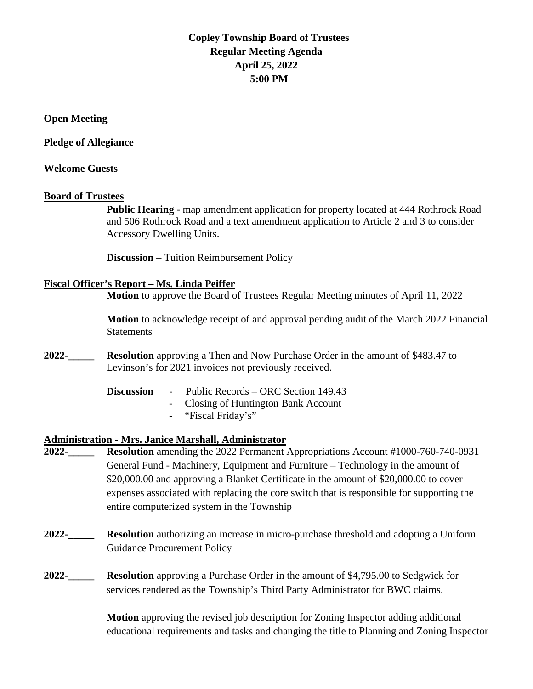# **Copley Township Board of Trustees Regular Meeting Agenda April 25, 2022 5:00 PM**

**Open Meeting**

**Pledge of Allegiance** 

## **Welcome Guests**

## **Board of Trustees**

**Public Hearing** - map amendment application for property located at 444 Rothrock Road and 506 Rothrock Road and a text amendment application to Article 2 and 3 to consider Accessory Dwelling Units.

**Discussion** – Tuition Reimbursement Policy

# **Fiscal Officer's Report – Ms. Linda Peiffer**

**Motion** to approve the Board of Trustees Regular Meeting minutes of April 11, 2022

**Motion** to acknowledge receipt of and approval pending audit of the March 2022 Financial **Statements** 

**2022-\_\_\_\_\_ Resolution** approving a Then and Now Purchase Order in the amount of \$483.47 to Levinson's for 2021 invoices not previously received.

- **Discussion** Public Records ORC Section 149.43
	- Closing of Huntington Bank Account
	- "Fiscal Friday's"

#### **Administration - Mrs. Janice Marshall, Administrator**

- **2022-\_\_\_\_\_ Resolution** amending the 2022 Permanent Appropriations Account #1000-760-740-0931 General Fund - Machinery, Equipment and Furniture – Technology in the amount of \$20,000.00 and approving a Blanket Certificate in the amount of \$20,000.00 to cover expenses associated with replacing the core switch that is responsible for supporting the entire computerized system in the Township
- **2022-\_\_\_\_\_ Resolution** authorizing an increase in micro-purchase threshold and adopting a Uniform Guidance Procurement Policy
- **2022-\_\_\_\_\_ Resolution** approving a Purchase Order in the amount of \$4,795.00 to Sedgwick for services rendered as the Township's Third Party Administrator for BWC claims.

**Motion** approving the revised job description for Zoning Inspector adding additional educational requirements and tasks and changing the title to Planning and Zoning Inspector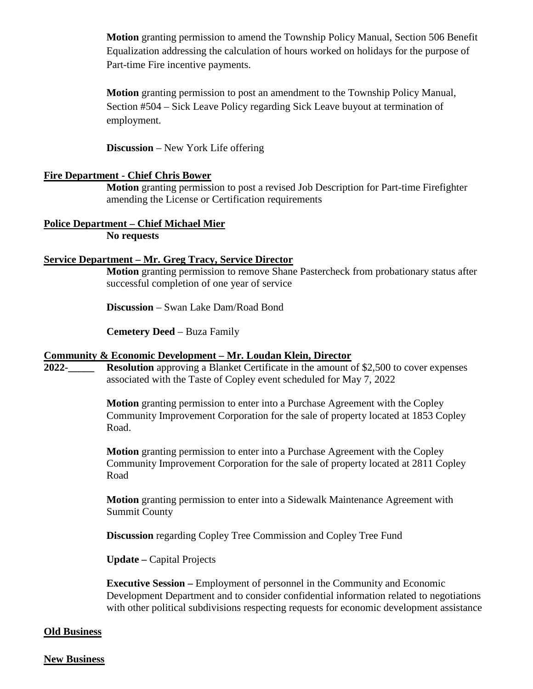**Motion** granting permission to amend the Township Policy Manual, Section 506 Benefit Equalization addressing the calculation of hours worked on holidays for the purpose of Part-time Fire incentive payments.

**Motion** granting permission to post an amendment to the Township Policy Manual, Section #504 – Sick Leave Policy regarding Sick Leave buyout at termination of employment.

**Discussion** – New York Life offering

# **Fire Department - Chief Chris Bower**

**Motion** granting permission to post a revised Job Description for Part-time Firefighter amending the License or Certification requirements

## **Police Department – Chief Michael Mier**

**No requests**

## **Service Department – Mr. Greg Tracy, Service Director**

**Motion** granting permission to remove Shane Pastercheck from probationary status after successful completion of one year of service

**Discussion** – Swan Lake Dam/Road Bond

**Cemetery Deed** – Buza Family

## **Community & Economic Development – Mr. Loudan Klein, Director**

**2022-\_\_\_\_\_ Resolution** approving a Blanket Certificate in the amount of \$2,500 to cover expenses associated with the Taste of Copley event scheduled for May 7, 2022

> **Motion** granting permission to enter into a Purchase Agreement with the Copley Community Improvement Corporation for the sale of property located at 1853 Copley Road.

> **Motion** granting permission to enter into a Purchase Agreement with the Copley Community Improvement Corporation for the sale of property located at 2811 Copley Road

**Motion** granting permission to enter into a Sidewalk Maintenance Agreement with Summit County

**Discussion** regarding Copley Tree Commission and Copley Tree Fund

**Update –** Capital Projects

**Executive Session –** Employment of personnel in the Community and Economic Development Department and to consider confidential information related to negotiations with other political subdivisions respecting requests for economic development assistance

## **Old Business**

## **New Business**